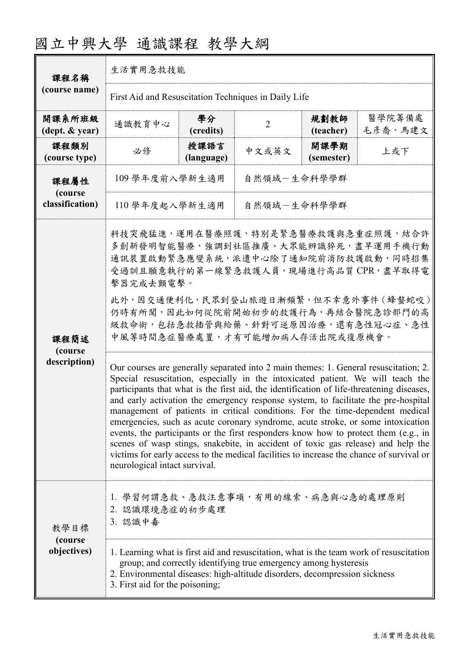| 課程名稱<br>(course name)                      | 生活實用急救技能                                                                                                                                                                                                                                                                                                                                                                                                                                                                                                                                                                                                                                                                                                                                                                                                                                |                    |                |                    |                   |  |
|--------------------------------------------|-----------------------------------------------------------------------------------------------------------------------------------------------------------------------------------------------------------------------------------------------------------------------------------------------------------------------------------------------------------------------------------------------------------------------------------------------------------------------------------------------------------------------------------------------------------------------------------------------------------------------------------------------------------------------------------------------------------------------------------------------------------------------------------------------------------------------------------------|--------------------|----------------|--------------------|-------------------|--|
|                                            | First Aid and Resuscitation Techniques in Daily Life                                                                                                                                                                                                                                                                                                                                                                                                                                                                                                                                                                                                                                                                                                                                                                                    |                    |                |                    |                   |  |
| 開課系所班級<br>$(\text{dept.} \& \text{ year})$ | 通識教育中心                                                                                                                                                                                                                                                                                                                                                                                                                                                                                                                                                                                                                                                                                                                                                                                                                                  | 學分<br>(credits)    | $\overline{2}$ | 規劃教師<br>(teacher)  | 醫學院籌備處<br>毛彥喬、馬建文 |  |
| 課程類別<br>(course type)                      | 必修                                                                                                                                                                                                                                                                                                                                                                                                                                                                                                                                                                                                                                                                                                                                                                                                                                      | 授課語言<br>(language) | 中文或英文          | 開課學期<br>(semester) | 上或下               |  |
| 課程屬性<br>(course<br>classification)         | 109 學年度前入學新生適用<br>自然領域-生命科學學群                                                                                                                                                                                                                                                                                                                                                                                                                                                                                                                                                                                                                                                                                                                                                                                                           |                    |                |                    |                   |  |
|                                            | 自然領域一生命科學學群<br>110 學年度起入學新生適用                                                                                                                                                                                                                                                                                                                                                                                                                                                                                                                                                                                                                                                                                                                                                                                                           |                    |                |                    |                   |  |
| 課程簡述<br>(course<br>description)            | 科技突飛猛進,運用在醫療照護,特別是緊急醫療救護與急重症照護,結合許<br>多創新發明智能醫療,強調到社區推廣、大眾能辨識猝死,盡早運用手機行動<br>通訊裝置啟動緊急應變系統,派遣中心除了通知院前消防救護啟動,同時招集<br>受過訓且願意執行的第一線緊急救護人員,現場進行高品質CPR,盡早取得電<br>擊器完成去顫電擊。<br>此外,因交通便利化,民眾到登山旅遊日漸頻繁,但不幸意外事件 (蜂螫蛇咬)<br>仍時有所聞,因此如何從院前開始初步的救護行為,再結合醫院急診部門的高<br>級救命術,包括急救插管與給藥、針對可逆原因治療,還有急性冠心症、急性<br>中風等時間急症醫療處置,才有可能增加病人存活出院或復原機會。                                                                                                                                                                                                                                                                                                                                                                                                                                                                                                                |                    |                |                    |                   |  |
|                                            | Our courses are generally separated into 2 main themes: 1. General resuscitation; 2.<br>Special resuscitation, especially in the intoxicated patient. We will teach the<br>participants that what is the first aid, the identification of life-threatening diseases,<br>and early activation the emergency response system, to facilitate the pre-hospital<br>management of patients in critical conditions. For the time-dependent medical<br>emergencies, such as acute coronary syndrome, acute stroke, or some intoxication<br>events, the participants or the first responders know how to protect them (e.g., in<br>scenes of wasp stings, snakebite, in accident of toxic gas release) and help the<br>victims for early access to the medical facilities to increase the chance of survival or<br>neurological intact survival. |                    |                |                    |                   |  |
| 教學目標<br>(course<br>objectives)             | 1. 學習何謂急救、急救注意事項,有用的線索、病急與心急的處理原則<br>2. 認識環境急症的初步處理<br>3. 認識中毒                                                                                                                                                                                                                                                                                                                                                                                                                                                                                                                                                                                                                                                                                                                                                                          |                    |                |                    |                   |  |
|                                            | 1. Learning what is first aid and resuscitation, what is the team work of resuscitation<br>group; and correctly identifying true emergency among hysteresis<br>2. Environmental diseases: high-altitude disorders, decompression sickness<br>3. First aid for the poisoning;                                                                                                                                                                                                                                                                                                                                                                                                                                                                                                                                                            |                    |                |                    |                   |  |

## 國立中興大學 通識課程 教學大綱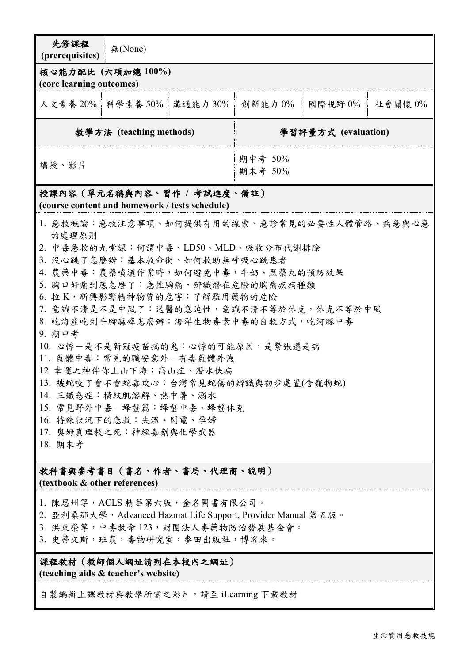| 先修課程<br>(prerequisites)                                                                                                                                                                                                                                                                                                                                                                                                                                                                                                                                                                                         | 無(None)             |                    |                     |         |         |
|-----------------------------------------------------------------------------------------------------------------------------------------------------------------------------------------------------------------------------------------------------------------------------------------------------------------------------------------------------------------------------------------------------------------------------------------------------------------------------------------------------------------------------------------------------------------------------------------------------------------|---------------------|--------------------|---------------------|---------|---------|
| 核心能力配比 (六項加總100%)<br>(core learning outcomes)                                                                                                                                                                                                                                                                                                                                                                                                                                                                                                                                                                   |                     |                    |                     |         |         |
|                                                                                                                                                                                                                                                                                                                                                                                                                                                                                                                                                                                                                 | 人文素養 20%   科學素養 50% | 溝通能力 30%           | 創新能力 0%             | 國際視野 0% | 社會關懷 0% |
| 教學方法 (teaching methods)                                                                                                                                                                                                                                                                                                                                                                                                                                                                                                                                                                                         |                     |                    | 學習評量方式 (evaluation) |         |         |
| 講授、影片                                                                                                                                                                                                                                                                                                                                                                                                                                                                                                                                                                                                           |                     | 期中考 50%<br>期末考 50% |                     |         |         |
| 授課內容 (單元名稱與內容、習作 / 考試進度、備註)<br>(course content and homework / tests schedule)                                                                                                                                                                                                                                                                                                                                                                                                                                                                                                                                   |                     |                    |                     |         |         |
| 1. 急救概論:急救注意事項、如何提供有用的線索、急診常見的必要性人體管路、病急與心急<br>的處理原則<br>2. 中毒急救的九堂課:何謂中毒、LD50、MLD、吸收分布代謝排除<br>3. 沒心跳了怎麼辦:基本救命術、如何救助無呼吸心跳患者<br>4. 農藥中毒:農藥噴灑作業時,如何避免中毒,牛奶、黑藥丸的預防效果<br>5. 胸口好痛到底怎麼了:急性胸痛,辨識潛在危險的胸痛疾病種類<br>6. 拉K, 新興影響精神物質的危害: 了解濫用藥物的危險<br>7. 意識不清是不是中風了:送醫的急迫性,意識不清不等於休克,休克不等於中風<br>8. 吃海產吃到手腳麻痺怎麼辦:海洋生物毒素中毒的自救方式,吃河豚中毒<br>9. 期中考<br>10. 心悸一是不是新冠疫苗搞的鬼:心悸的可能原因,是緊張還是病<br>11. 氣體中毒:常見的職安意外一有毒氣體外洩<br>12 幸運之神伴你上山下海:高山症、潛水伕病<br>13. 被蛇咬了會不會蛇毒攻心;台灣常見蛇傷的辨識與初步處置(含寵物蛇)<br>14. 三鐵急症:橫紋肌溶解、熱中暑、溺水<br>15. 常見野外中毒一蜂螫篇:蜂螫中毒、蜂螫休克<br>16. 特殊狀況下的急救:失溫、閃電、孕婦<br>17. 奥姆真理教之死:神經毒劑與化學武器<br>18. 期末考<br>教科書與參考書目(書名、作者、書局、代理商、說明) |                     |                    |                     |         |         |
| (textbook & other references)                                                                                                                                                                                                                                                                                                                                                                                                                                                                                                                                                                                   |                     |                    |                     |         |         |
| 1. 陳思州等, ACLS 精華第六版, 金名圖書有限公司。                                                                                                                                                                                                                                                                                                                                                                                                                                                                                                                                                                                  |                     |                    |                     |         |         |

- 2. 亞利桑那大學, Advanced Hazmat Life Support, Provider Manual 第五版。
- 3. 洪東榮等,中毒救命123,財團法人毒藥物防治發展基金會。
- 3. 史蒂文斯,班農,毒物研究室,參田出版社,博客來。

課程教材(教師個人網址請列在本校內之網址) **(teaching aids & teacher's website)**

自製編輯上課教材與教學所需之影片,請至 iLearning 下載教材